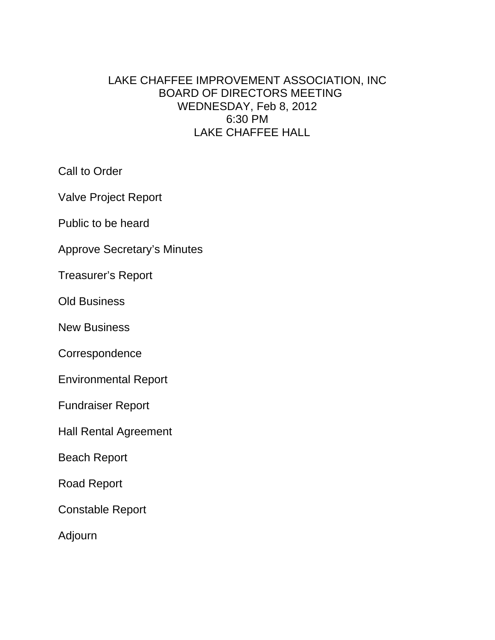# LAKE CHAFFEE IMPROVEMENT ASSOCIATION, INC BOARD OF DIRECTORS MEETING WEDNESDAY, Feb 8, 2012 6:30 PM LAKE CHAFFEE HALL

Call to Order

Valve Project Report

Public to be heard

Approve Secretary's Minutes

Treasurer's Report

Old Business

New Business

**Correspondence** 

Environmental Report

Fundraiser Report

Hall Rental Agreement

Beach Report

Road Report

Constable Report

Adjourn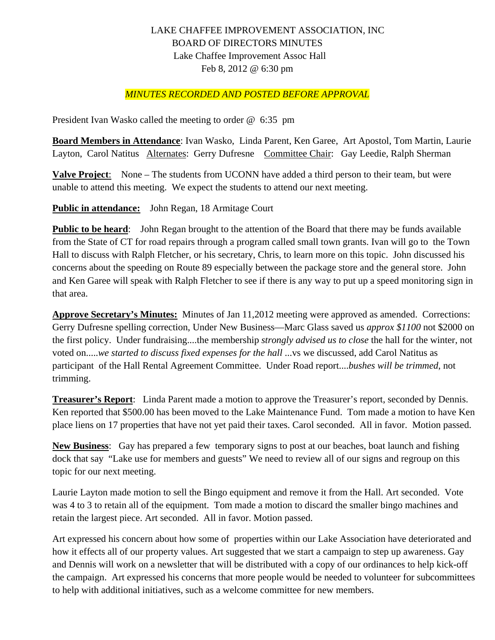## LAKE CHAFFEE IMPROVEMENT ASSOCIATION, INC BOARD OF DIRECTORS MINUTES Lake Chaffee Improvement Assoc Hall Feb 8, 2012 @ 6:30 pm

#### *MINUTES RECORDED AND POSTED BEFORE APPROVAL*

President Ivan Wasko called the meeting to order @ 6:35 pm

**Board Members in Attendance**: Ivan Wasko, Linda Parent, Ken Garee, Art Apostol, Tom Martin, Laurie Layton, Carol Natitus Alternates: Gerry Dufresne Committee Chair: Gay Leedie, Ralph Sherman

**Valve Project**: None – The students from UCONN have added a third person to their team, but were unable to attend this meeting. We expect the students to attend our next meeting.

**Public in attendance:** John Regan, 18 Armitage Court

**Public to be heard:** John Regan brought to the attention of the Board that there may be funds available from the State of CT for road repairs through a program called small town grants. Ivan will go to the Town Hall to discuss with Ralph Fletcher, or his secretary, Chris, to learn more on this topic. John discussed his concerns about the speeding on Route 89 especially between the package store and the general store. John and Ken Garee will speak with Ralph Fletcher to see if there is any way to put up a speed monitoring sign in that area.

**Approve Secretary's Minutes:** Minutes of Jan 11,2012 meeting were approved as amended. Corrections: Gerry Dufresne spelling correction, Under New Business—Marc Glass saved us *approx \$1100* not \$2000 on the first policy. Under fundraising....the membership *strongly advised us to close* the hall for the winter, not voted on.....*we started to discuss fixed expenses for the hall* ...vs we discussed, add Carol Natitus as participant of the Hall Rental Agreement Committee. Under Road report....*bushes will be trimmed*, not trimming.

**Treasurer's Report**: Linda Parent made a motion to approve the Treasurer's report, seconded by Dennis. Ken reported that \$500.00 has been moved to the Lake Maintenance Fund. Tom made a motion to have Ken place liens on 17 properties that have not yet paid their taxes. Carol seconded. All in favor. Motion passed.

**New Business**: Gay has prepared a few temporary signs to post at our beaches, boat launch and fishing dock that say "Lake use for members and guests" We need to review all of our signs and regroup on this topic for our next meeting.

Laurie Layton made motion to sell the Bingo equipment and remove it from the Hall. Art seconded. Vote was 4 to 3 to retain all of the equipment. Tom made a motion to discard the smaller bingo machines and retain the largest piece. Art seconded. All in favor. Motion passed.

Art expressed his concern about how some of properties within our Lake Association have deteriorated and how it effects all of our property values. Art suggested that we start a campaign to step up awareness. Gay and Dennis will work on a newsletter that will be distributed with a copy of our ordinances to help kick-off the campaign. Art expressed his concerns that more people would be needed to volunteer for subcommittees to help with additional initiatives, such as a welcome committee for new members.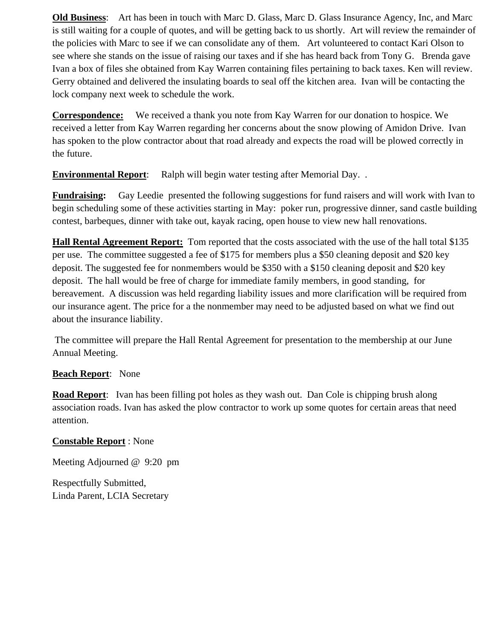**Old Business**: Art has been in touch with Marc D. Glass, Marc D. Glass Insurance Agency, Inc, and Marc is still waiting for a couple of quotes, and will be getting back to us shortly. Art will review the remainder of the policies with Marc to see if we can consolidate any of them. Art volunteered to contact Kari Olson to see where she stands on the issue of raising our taxes and if she has heard back from Tony G. Brenda gave Ivan a box of files she obtained from Kay Warren containing files pertaining to back taxes. Ken will review. Gerry obtained and delivered the insulating boards to seal off the kitchen area. Ivan will be contacting the lock company next week to schedule the work.

**Correspondence:** We received a thank you note from Kay Warren for our donation to hospice. We received a letter from Kay Warren regarding her concerns about the snow plowing of Amidon Drive. Ivan has spoken to the plow contractor about that road already and expects the road will be plowed correctly in the future.

**Environmental Report**: Ralph will begin water testing after Memorial Day. .

**Fundraising:** Gay Leedie presented the following suggestions for fund raisers and will work with Ivan to begin scheduling some of these activities starting in May: poker run, progressive dinner, sand castle building contest, barbeques, dinner with take out, kayak racing, open house to view new hall renovations.

**Hall Rental Agreement Report:** Tom reported that the costs associated with the use of the hall total \$135 per use. The committee suggested a fee of \$175 for members plus a \$50 cleaning deposit and \$20 key deposit. The suggested fee for nonmembers would be \$350 with a \$150 cleaning deposit and \$20 key deposit. The hall would be free of charge for immediate family members, in good standing, for bereavement. A discussion was held regarding liability issues and more clarification will be required from our insurance agent. The price for a the nonmember may need to be adjusted based on what we find out about the insurance liability.

 The committee will prepare the Hall Rental Agreement for presentation to the membership at our June Annual Meeting.

#### **Beach Report**: None

**Road Report**: Ivan has been filling pot holes as they wash out. Dan Cole is chipping brush along association roads. Ivan has asked the plow contractor to work up some quotes for certain areas that need attention.

### **Constable Report** : None

Meeting Adjourned @ 9:20 pm

Respectfully Submitted, Linda Parent, LCIA Secretary